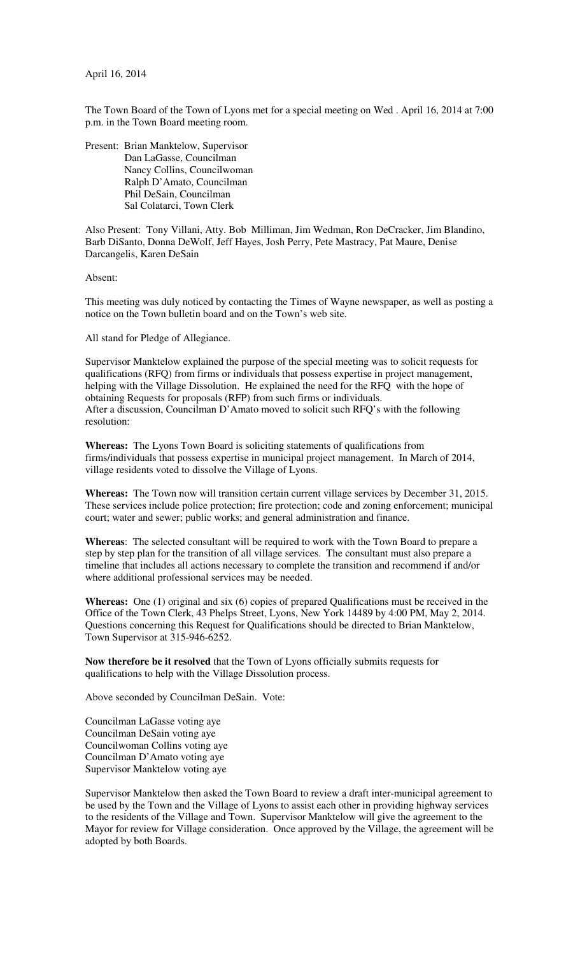April 16, 2014

The Town Board of the Town of Lyons met for a special meeting on Wed . April 16, 2014 at 7:00 p.m. in the Town Board meeting room.

Present: Brian Manktelow, Supervisor Dan LaGasse, Councilman Nancy Collins, Councilwoman Ralph D'Amato, Councilman Phil DeSain, Councilman Sal Colatarci, Town Clerk

Also Present: Tony Villani, Atty. Bob Milliman, Jim Wedman, Ron DeCracker, Jim Blandino, Barb DiSanto, Donna DeWolf, Jeff Hayes, Josh Perry, Pete Mastracy, Pat Maure, Denise Darcangelis, Karen DeSain

Absent:

This meeting was duly noticed by contacting the Times of Wayne newspaper, as well as posting a notice on the Town bulletin board and on the Town's web site.

All stand for Pledge of Allegiance.

Supervisor Manktelow explained the purpose of the special meeting was to solicit requests for qualifications (RFQ) from firms or individuals that possess expertise in project management, helping with the Village Dissolution. He explained the need for the RFQ with the hope of obtaining Requests for proposals (RFP) from such firms or individuals. After a discussion, Councilman D'Amato moved to solicit such RFQ's with the following resolution:

**Whereas:** The Lyons Town Board is soliciting statements of qualifications from firms/individuals that possess expertise in municipal project management. In March of 2014, village residents voted to dissolve the Village of Lyons.

**Whereas:** The Town now will transition certain current village services by December 31, 2015. These services include police protection; fire protection; code and zoning enforcement; municipal court; water and sewer; public works; and general administration and finance.

**Whereas**: The selected consultant will be required to work with the Town Board to prepare a step by step plan for the transition of all village services. The consultant must also prepare a timeline that includes all actions necessary to complete the transition and recommend if and/or where additional professional services may be needed.

**Whereas:** One (1) original and six (6) copies of prepared Qualifications must be received in the Office of the Town Clerk, 43 Phelps Street, Lyons, New York 14489 by 4:00 PM, May 2, 2014. Questions concerning this Request for Qualifications should be directed to Brian Manktelow, Town Supervisor at 315-946-6252.

**Now therefore be it resolved** that the Town of Lyons officially submits requests for qualifications to help with the Village Dissolution process.

Above seconded by Councilman DeSain. Vote:

Councilman LaGasse voting aye Councilman DeSain voting aye Councilwoman Collins voting aye Councilman D'Amato voting aye Supervisor Manktelow voting aye

Supervisor Manktelow then asked the Town Board to review a draft inter-municipal agreement to be used by the Town and the Village of Lyons to assist each other in providing highway services to the residents of the Village and Town. Supervisor Manktelow will give the agreement to the Mayor for review for Village consideration. Once approved by the Village, the agreement will be adopted by both Boards.